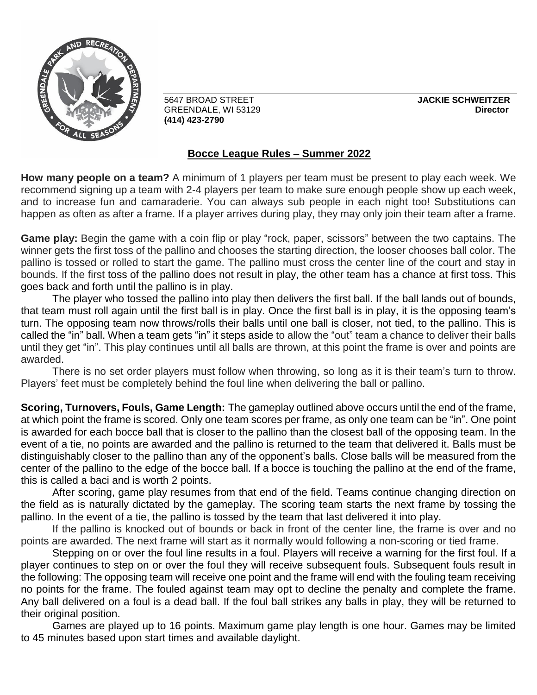

GREENDALE, WI 53129 **Director (414) 423-2790** 

5647 BROAD STREET **JACKIE SCHWEITZER**

## **Bocce League Rules – Summer 2022**

**How many people on a team?** A minimum of 1 players per team must be present to play each week. We recommend signing up a team with 2-4 players per team to make sure enough people show up each week, and to increase fun and camaraderie. You can always sub people in each night too! Substitutions can happen as often as after a frame. If a player arrives during play, they may only join their team after a frame.

**Game play:** Begin the game with a coin flip or play "rock, paper, scissors" between the two captains. The winner gets the first toss of the pallino and chooses the starting direction, the looser chooses ball color. The pallino is tossed or rolled to start the game. The pallino must cross the center line of the court and stay in bounds. If the first toss of the pallino does not result in play, the other team has a chance at first toss. This goes back and forth until the pallino is in play.

The player who tossed the pallino into play then delivers the first ball. If the ball lands out of bounds, that team must roll again until the first ball is in play. Once the first ball is in play, it is the opposing team's turn. The opposing team now throws/rolls their balls until one ball is closer, not tied, to the pallino. This is called the "in" ball. When a team gets "in" it steps aside to allow the "out" team a chance to deliver their balls until they get "in". This play continues until all balls are thrown, at this point the frame is over and points are awarded.

There is no set order players must follow when throwing, so long as it is their team's turn to throw. Players' feet must be completely behind the foul line when delivering the ball or pallino.

**Scoring, Turnovers, Fouls, Game Length:** The gameplay outlined above occurs until the end of the frame, at which point the frame is scored. Only one team scores per frame, as only one team can be "in". One point is awarded for each bocce ball that is closer to the pallino than the closest ball of the opposing team. In the event of a tie, no points are awarded and the pallino is returned to the team that delivered it. Balls must be distinguishably closer to the pallino than any of the opponent's balls. Close balls will be measured from the center of the pallino to the edge of the bocce ball. If a bocce is touching the pallino at the end of the frame, this is called a baci and is worth 2 points.

After scoring, game play resumes from that end of the field. Teams continue changing direction on the field as is naturally dictated by the gameplay. The scoring team starts the next frame by tossing the pallino. In the event of a tie, the pallino is tossed by the team that last delivered it into play.

If the pallino is knocked out of bounds or back in front of the center line, the frame is over and no points are awarded. The next frame will start as it normally would following a non-scoring or tied frame.

Stepping on or over the foul line results in a foul. Players will receive a warning for the first foul. If a player continues to step on or over the foul they will receive subsequent fouls. Subsequent fouls result in the following: The opposing team will receive one point and the frame will end with the fouling team receiving no points for the frame. The fouled against team may opt to decline the penalty and complete the frame. Any ball delivered on a foul is a dead ball. If the foul ball strikes any balls in play, they will be returned to their original position.

Games are played up to 16 points. Maximum game play length is one hour. Games may be limited to 45 minutes based upon start times and available daylight.